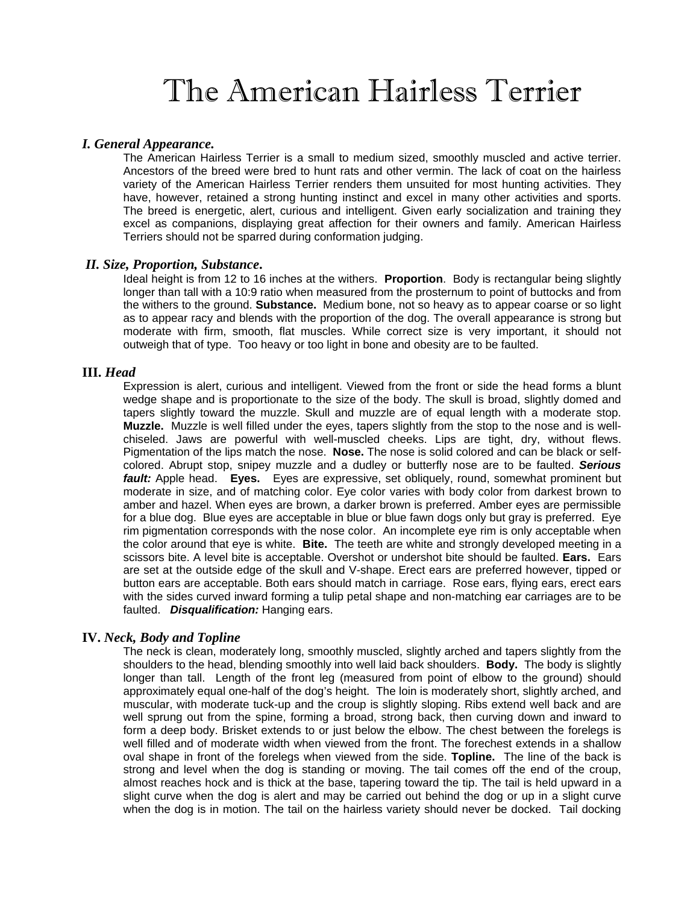# The American Hairless Terrier

## *I. General Appearance.*

The American Hairless Terrier is a small to medium sized, smoothly muscled and active terrier. Ancestors of the breed were bred to hunt rats and other vermin. The lack of coat on the hairless variety of the American Hairless Terrier renders them unsuited for most hunting activities. They have, however, retained a strong hunting instinct and excel in many other activities and sports. The breed is energetic, alert, curious and intelligent. Given early socialization and training they excel as companions, displaying great affection for their owners and family. American Hairless Terriers should not be sparred during conformation judging.

## *II. Size, Proportion, Substance***.**

Ideal height is from 12 to 16 inches at the withers. **Proportion**. Body is rectangular being slightly longer than tall with a 10:9 ratio when measured from the prosternum to point of buttocks and from the withers to the ground. **Substance.** Medium bone, not so heavy as to appear coarse or so light as to appear racy and blends with the proportion of the dog. The overall appearance is strong but moderate with firm, smooth, flat muscles. While correct size is very important, it should not outweigh that of type. Too heavy or too light in bone and obesity are to be faulted.

## **III.** *Head*

Expression is alert, curious and intelligent. Viewed from the front or side the head forms a blunt wedge shape and is proportionate to the size of the body. The skull is broad, slightly domed and tapers slightly toward the muzzle. Skull and muzzle are of equal length with a moderate stop. **Muzzle.** Muzzle is well filled under the eyes, tapers slightly from the stop to the nose and is wellchiseled. Jaws are powerful with well-muscled cheeks. Lips are tight, dry, without flews. Pigmentation of the lips match the nose. **Nose.** The nose is solid colored and can be black or selfcolored. Abrupt stop, snipey muzzle and a dudley or butterfly nose are to be faulted. *Serious fault:* Apple head. **Eyes.** Eyes are expressive, set obliquely, round, somewhat prominent but moderate in size, and of matching color. Eye color varies with body color from darkest brown to amber and hazel. When eyes are brown, a darker brown is preferred. Amber eyes are permissible for a blue dog. Blue eyes are acceptable in blue or blue fawn dogs only but gray is preferred. Eye rim pigmentation corresponds with the nose color.An incomplete eye rim is only acceptable when the color around that eye is white. **Bite.** The teeth are white and strongly developed meeting in a scissors bite. A level bite is acceptable. Overshot or undershot bite should be faulted. **Ears.** Ears are set at the outside edge of the skull and V-shape. Erect ears are preferred however, tipped or button ears are acceptable. Both ears should match in carriage. Rose ears, flying ears, erect ears with the sides curved inward forming a tulip petal shape and non-matching ear carriages are to be faulted. *Disqualification:* Hanging ears.

## **IV.** *Neck, Body and Topline*

The neck is clean, moderately long, smoothly muscled, slightly arched and tapers slightly from the shoulders to the head, blending smoothly into well laid back shoulders. **Body.** The body is slightly longer than tall. Length of the front leg (measured from point of elbow to the ground) should approximately equal one-half of the dog's height. The loin is moderately short, slightly arched, and muscular, with moderate tuck-up and the croup is slightly sloping. Ribs extend well back and are well sprung out from the spine, forming a broad, strong back, then curving down and inward to form a deep body. Brisket extends to or just below the elbow. The chest between the forelegs is well filled and of moderate width when viewed from the front. The forechest extends in a shallow oval shape in front of the forelegs when viewed from the side. **Topline.** The line of the back is strong and level when the dog is standing or moving. The tail comes off the end of the croup, almost reaches hock and is thick at the base, tapering toward the tip. The tail is held upward in a slight curve when the dog is alert and may be carried out behind the dog or up in a slight curve when the dog is in motion. The tail on the hairless variety should never be docked. Tail docking